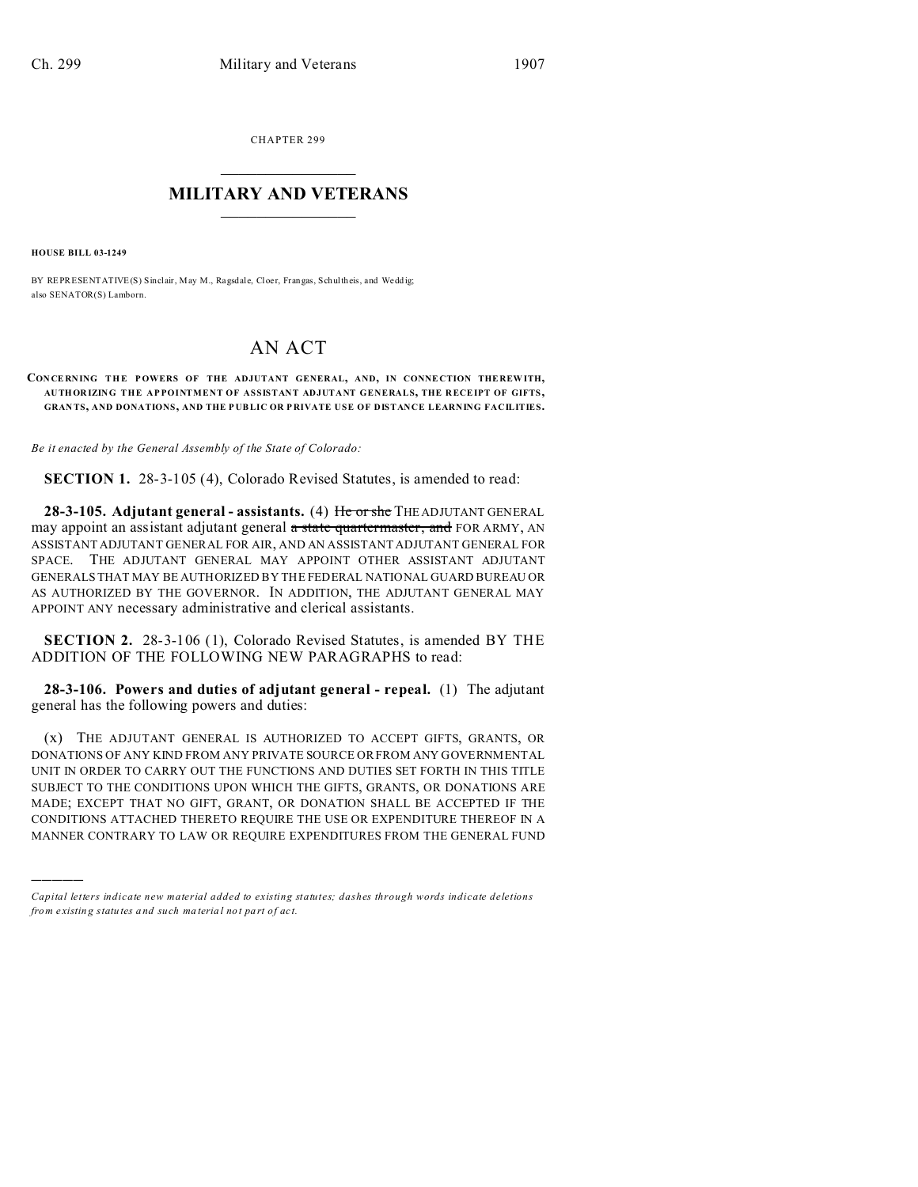CHAPTER 299  $\overline{\phantom{a}}$  , where  $\overline{\phantom{a}}$ 

## **MILITARY AND VETERANS**  $\_$

**HOUSE BILL 03-1249**

)))))

BY REPRESENTATIVE(S) Sinclair, May M., Ragsdale, Cloer, Frangas, Schultheis, and Weddig; also SENATOR(S) Lamborn.

## AN ACT

**CON CE RNING THE POWERS OF THE ADJUTANT GENERAL, AND, IN CONNE CTION THE REW ITH, AUTHOR IZING THE AP POINTMENT OF ASSISTANT ADJUTANT GENERALS, THE R ECEIPT OF GIFTS, GRAN TS, AND DONATIONS, AND THE P UBLIC OR P RIVATE USE OF DISTANCE LEARNING FACILITIES.**

*Be it enacted by the General Assembly of the State of Colorado:*

**SECTION 1.** 28-3-105 (4), Colorado Revised Statutes, is amended to read:

**28-3-105. Adjutant general - assistants.** (4) He or she THE ADJUTANT GENERAL may appoint an assistant adjutant general  $\alpha$  state quartermaster, and FOR ARMY, AN ASSISTANT ADJUTANT GENERAL FOR AIR, AND AN ASSISTANT ADJUTANT GENERAL FOR SPACE. THE ADJUTANT GENERAL MAY APPOINT OTHER ASSISTANT ADJUTANT GENERALS THAT MAY BE AUTHORIZED BY THE FEDERAL NATIONAL GUARD BUREAU OR AS AUTHORIZED BY THE GOVERNOR. IN ADDITION, THE ADJUTANT GENERAL MAY APPOINT ANY necessary administrative and clerical assistants.

**SECTION 2.** 28-3-106 (1), Colorado Revised Statutes, is amended BY THE ADDITION OF THE FOLLOWING NEW PARAGRAPHS to read:

**28-3-106. Powers and duties of adjutant general - repeal.** (1) The adjutant general has the following powers and duties:

(x) THE ADJUTANT GENERAL IS AUTHORIZED TO ACCEPT GIFTS, GRANTS, OR DONATIONS OF ANY KIND FROM ANY PRIVATE SOURCE OR FROM ANY GOVERNMENTAL UNIT IN ORDER TO CARRY OUT THE FUNCTIONS AND DUTIES SET FORTH IN THIS TITLE SUBJECT TO THE CONDITIONS UPON WHICH THE GIFTS, GRANTS, OR DONATIONS ARE MADE; EXCEPT THAT NO GIFT, GRANT, OR DONATION SHALL BE ACCEPTED IF THE CONDITIONS ATTACHED THERETO REQUIRE THE USE OR EXPENDITURE THEREOF IN A MANNER CONTRARY TO LAW OR REQUIRE EXPENDITURES FROM THE GENERAL FUND

*Capital letters indicate new material added to existing statutes; dashes through words indicate deletions from e xistin g statu tes a nd such ma teria l no t pa rt of ac t.*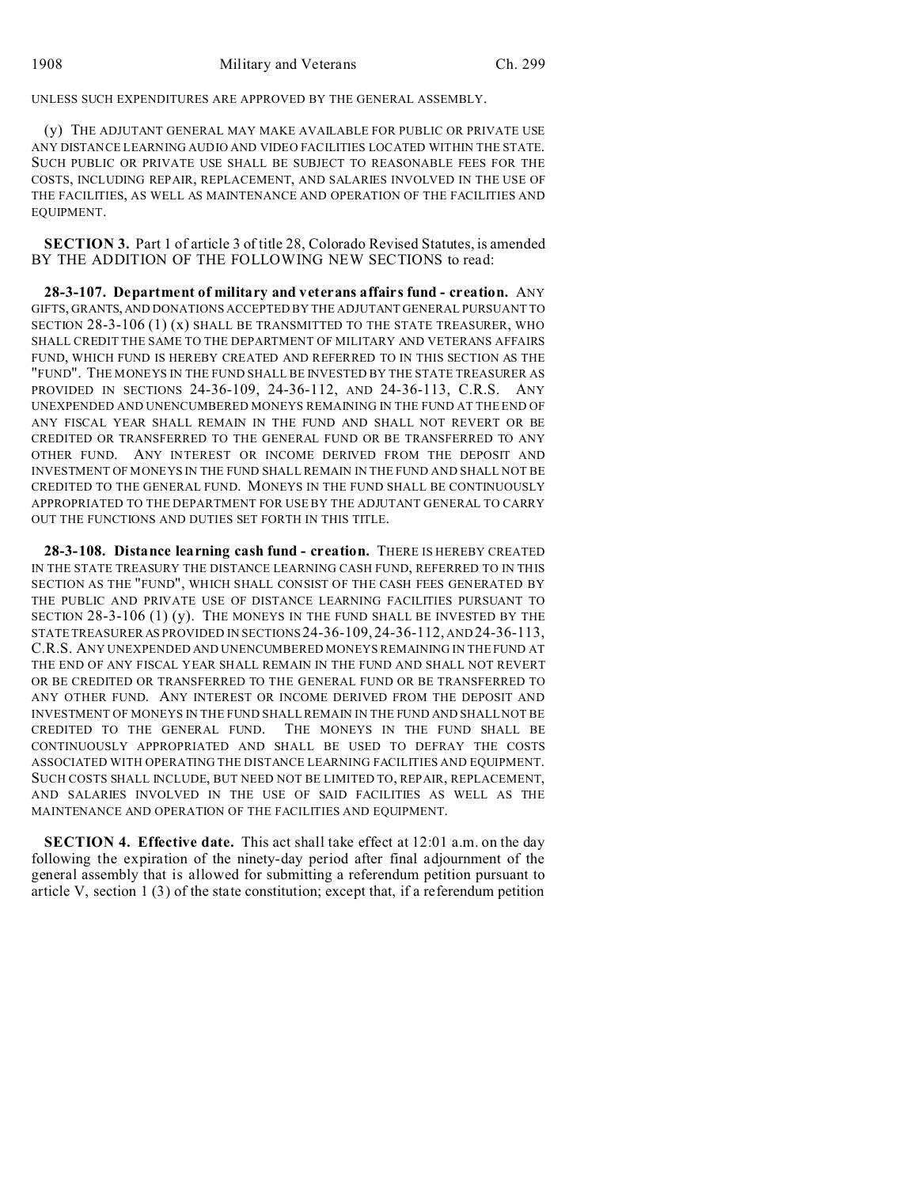UNLESS SUCH EXPENDITURES ARE APPROVED BY THE GENERAL ASSEMBLY.

(y) THE ADJUTANT GENERAL MAY MAKE AVAILABLE FOR PUBLIC OR PRIVATE USE ANY DISTANCE LEARNING AUDIO AND VIDEO FACILITIES LOCATED WITHIN THE STATE. SUCH PUBLIC OR PRIVATE USE SHALL BE SUBJECT TO REASONABLE FEES FOR THE COSTS, INCLUDING REPAIR, REPLACEMENT, AND SALARIES INVOLVED IN THE USE OF THE FACILITIES, AS WELL AS MAINTENANCE AND OPERATION OF THE FACILITIES AND EQUIPMENT.

**SECTION 3.** Part 1 of article 3 of title 28, Colorado Revised Statutes, is amended BY THE ADDITION OF THE FOLLOWING NEW SECTIONS to read:

**28-3-107. Department of military and veterans affairs fund - creation.** ANY GIFTS, GRANTS,AND DONATIONS ACCEPTED BY THE ADJUTANT GENERAL PURSUANT TO SECTION 28-3-106 (1) (x) SHALL BE TRANSMITTED TO THE STATE TREASURER, WHO SHALL CREDIT THE SAME TO THE DEPARTMENT OF MILITARY AND VETERANS AFFAIRS FUND, WHICH FUND IS HEREBY CREATED AND REFERRED TO IN THIS SECTION AS THE "FUND". THE MONEYS IN THE FUND SHALL BE INVESTED BY THE STATE TREASURER AS PROVIDED IN SECTIONS 24-36-109, 24-36-112, AND 24-36-113, C.R.S. ANY UNEXPENDED AND UNENCUMBERED MONEYS REMAINING IN THE FUND AT THE END OF ANY FISCAL YEAR SHALL REMAIN IN THE FUND AND SHALL NOT REVERT OR BE CREDITED OR TRANSFERRED TO THE GENERAL FUND OR BE TRANSFERRED TO ANY OTHER FUND. ANY INTEREST OR INCOME DERIVED FROM THE DEPOSIT AND INVESTMENT OF MONEYS IN THE FUND SHALL REMAIN IN THE FUND AND SHALL NOT BE CREDITED TO THE GENERAL FUND. MONEYS IN THE FUND SHALL BE CONTINUOUSLY APPROPRIATED TO THE DEPARTMENT FOR USE BY THE ADJUTANT GENERAL TO CARRY OUT THE FUNCTIONS AND DUTIES SET FORTH IN THIS TITLE.

**28-3-108. Distance learning cash fund - creation.** THERE IS HEREBY CREATED IN THE STATE TREASURY THE DISTANCE LEARNING CASH FUND, REFERRED TO IN THIS SECTION AS THE "FUND", WHICH SHALL CONSIST OF THE CASH FEES GENERATED BY THE PUBLIC AND PRIVATE USE OF DISTANCE LEARNING FACILITIES PURSUANT TO SECTION 28-3-106 (1) (y). THE MONEYS IN THE FUND SHALL BE INVESTED BY THE STATE TREASURER AS PROVIDED IN SECTIONS 24-36-109, 24-36-112, AND 24-36-113, C.R.S. ANY UNEXPENDED AND UNENCUMBERED MONEYS REMAINING IN THE FUND AT THE END OF ANY FISCAL YEAR SHALL REMAIN IN THE FUND AND SHALL NOT REVERT OR BE CREDITED OR TRANSFERRED TO THE GENERAL FUND OR BE TRANSFERRED TO ANY OTHER FUND. ANY INTEREST OR INCOME DERIVED FROM THE DEPOSIT AND INVESTMENT OF MONEYS IN THE FUND SHALL REMAIN IN THE FUND AND SHALL NOT BE CREDITED TO THE GENERAL FUND. THE MONEYS IN THE FUND SHALL BE CONTINUOUSLY APPROPRIATED AND SHALL BE USED TO DEFRAY THE COSTS ASSOCIATED WITH OPERATING THE DISTANCE LEARNING FACILITIES AND EQUIPMENT. SUCH COSTS SHALL INCLUDE, BUT NEED NOT BE LIMITED TO, REPAIR, REPLACEMENT, AND SALARIES INVOLVED IN THE USE OF SAID FACILITIES AS WELL AS THE MAINTENANCE AND OPERATION OF THE FACILITIES AND EQUIPMENT.

**SECTION 4. Effective date.** This act shall take effect at 12:01 a.m. on the day following the expiration of the ninety-day period after final adjournment of the general assembly that is allowed for submitting a referendum petition pursuant to article V, section 1 (3) of the state constitution; except that, if a referendum petition